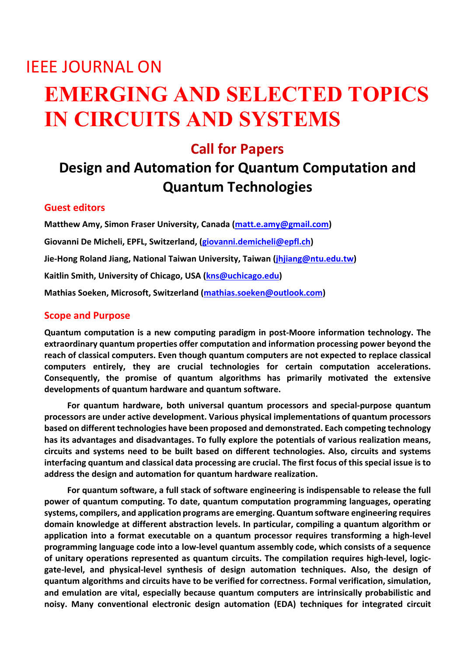# IEEE JOURNAL ON **EMERGING AND SELECTED TOPICS IN CIRCUITS AND SYSTEMS**

### **Call for Papers**

## **Design and Automation for Quantum Computation and Quantum Technologies**

#### **Guest editors**

**Matthew Amy, Simon Fraser University, Canada [\(matt.e.amy@gmail.com\)](mailto:matt.e.amy@gmail.com) Giovanni De Micheli, EPFL, Switzerland, [\(giovanni.demicheli@epfl.ch\)](mailto:giovanni.demicheli@epfl.ch) Jie-Hong Roland Jiang, National Taiwan University, Taiwan [\(jhjiang@ntu.edu.tw\)](mailto:jhjiang@ntu.edu.tw) Kaitlin Smith, University of Chicago, USA [\(kns@uchicago.edu\)](mailto:kns@uchicago.edu) Mathias Soeken, Microsoft, Switzerland [\(mathias.soeken@outlook.com\)](mailto:mathias.soeken@outlook.com)**

#### **Scope and Purpose**

**Quantum computation is a new computing paradigm in post-Moore information technology. The extraordinary quantum properties offer computation and information processing power beyond the reach of classical computers. Even though quantum computers are not expected to replace classical computers entirely, they are crucial technologies for certain computation accelerations. Consequently, the promise of quantum algorithms has primarily motivated the extensive developments of quantum hardware and quantum software.**

**For quantum hardware, both universal quantum processors and special-purpose quantum processors are under active development. Various physical implementations of quantum processors based on different technologies have been proposed and demonstrated. Each competing technology has its advantages and disadvantages. To fully explore the potentials of various realization means, circuits and systems need to be built based on different technologies. Also, circuits and systems interfacing quantum and classical data processing are crucial. The first focus of this special issue is to address the design and automation for quantum hardware realization.**

**For quantum software, a full stack of software engineering is indispensable to release the full power of quantum computing. To date, quantum computation programming languages, operating systems, compilers, and application programs are emerging. Quantum software engineering requires domain knowledge at different abstraction levels. In particular, compiling a quantum algorithm or application into a format executable on a quantum processor requires transforming a high-level programming language code into a low-level quantum assembly code, which consists of a sequence of unitary operations represented as quantum circuits. The compilation requires high-level, logicgate-level, and physical-level synthesis of design automation techniques. Also, the design of quantum algorithms and circuits have to be verified for correctness. Formal verification, simulation, and emulation are vital, especially because quantum computers are intrinsically probabilistic and noisy. Many conventional electronic design automation (EDA) techniques for integrated circuit**